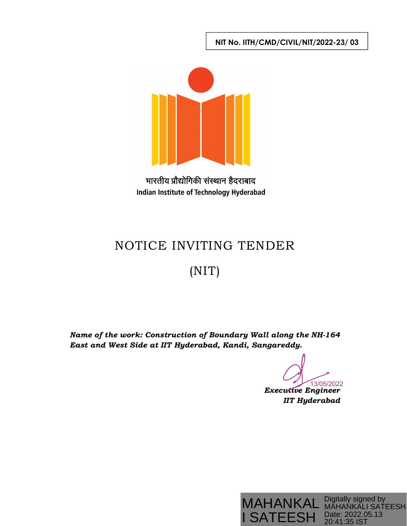**NIT No. IITH/CMD/CIVIL/NIT/2022-23/ 03** 



भारतीय प्रौद्योगिकी संस्थान हैदराबाद Indian Institute of Technology Hyderabad

# NOTICE INVITING TENDER

## (NIT)

*Name of the work: Construction of Boundary Wall along the NH-164 East and West Side at IIT Hyderabad, Kandi, Sangareddy.* 

13/05/2022

*Executive Engineer IIT Hyderabad*

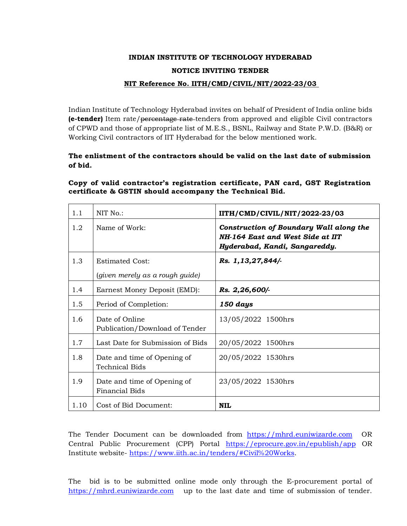## **INDIAN INSTITUTE OF TECHNOLOGY HYDERABAD NOTICE INVITING TENDER**

#### **NIT Reference No. IITH/CMD/CIVIL/NIT/2022-23/03**

Indian Institute of Technology Hyderabad invites on behalf of President of India online bids **(e-tender)** Item rate/percentage rate tenders from approved and eligible Civil contractors of CPWD and those of appropriate list of M.E.S., BSNL, Railway and State P.W.D. (B&R) or Working Civil contractors of IIT Hyderabad for the below mentioned work.

#### **The enlistment of the contractors should be valid on the last date of submission of bid.**

#### **Copy of valid contractor's registration certificate, PAN card, GST Registration certificate & GSTIN should accompany the Technical Bid.**

| 1.1  | NIT No.:                                                  | IITH/CMD/CIVIL/NIT/2022-23/03                                                                                |
|------|-----------------------------------------------------------|--------------------------------------------------------------------------------------------------------------|
| 1.2  | Name of Work:                                             | Construction of Boundary Wall along the<br>NH-164 East and West Side at IIT<br>Hyderabad, Kandi, Sangareddy. |
| 1.3  | <b>Estimated Cost:</b><br>(given merely as a rough guide) | Rs. 1,13,27,844/-                                                                                            |
| 1.4  | Earnest Money Deposit (EMD):                              | Rs. 2,26,600/-                                                                                               |
| 1.5  | Period of Completion:                                     | 150 days                                                                                                     |
| 1.6  | Date of Online<br>Publication/Download of Tender          | 13/05/2022 1500hrs                                                                                           |
| 1.7  | Last Date for Submission of Bids                          | 20/05/2022 1500hrs                                                                                           |
| 1.8  | Date and time of Opening of<br><b>Technical Bids</b>      | 20/05/2022 1530hrs                                                                                           |
| 1.9  | Date and time of Opening of<br><b>Financial Bids</b>      | 23/05/2022 1530hrs                                                                                           |
| 1.10 | Cost of Bid Document:                                     | <b>NIL</b>                                                                                                   |

The Tender Document can be downloaded from https://mhrd.euniwizarde.com OR Central Public Procurement (CPP) Portal https://eprocure.gov.in/epublish/app OR Institute website- https://www.iith.ac.in/tenders/#Civil%20Works.

The bid is to be submitted online mode only through the E-procurement portal of https://mhrd.euniwizarde.com up to the last date and time of submission of tender.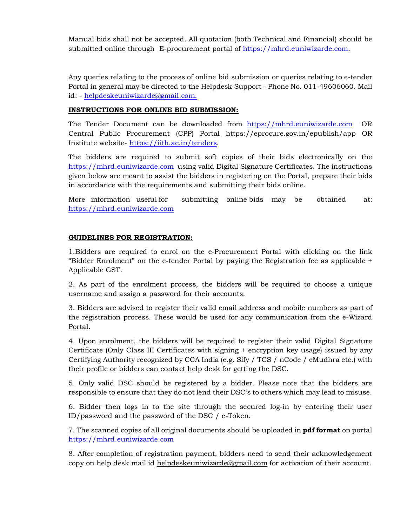Manual bids shall not be accepted. All quotation (both Technical and Financial) should be submitted online through E-procurement portal of https://mhrd.euniwizarde.com.

Any queries relating to the process of online bid submission or queries relating to e-tender Portal in general may be directed to the Helpdesk Support - Phone No. 011-49606060. Mail id: - helpdeskeuniwizarde@gmail.com.

#### **INSTRUCTIONS FOR ONLINE BID SUBMISSION:**

The Tender Document can be downloaded from https://mhrd.euniwizarde.com OR Central Public Procurement (CPP) Portal https://eprocure.gov.in/epublish/app OR Institute website- https://iith.ac.in/tenders.

The bidders are required to submit soft copies of their bids electronically on the https://mhrd.euniwizarde.com using valid Digital Signature Certificates. The instructions given below are meant to assist the bidders in registering on the Portal, prepare their bids in accordance with the requirements and submitting their bids online.

More information useful for submitting online bids may be obtained at: https://mhrd.euniwizarde.com

#### **GUIDELINES FOR REGISTRATION:**

1.Bidders are required to enrol on the e-Procurement Portal with clicking on the link "Bidder Enrolment" on the e-tender Portal by paying the Registration fee as applicable + Applicable GST.

2. As part of the enrolment process, the bidders will be required to choose a unique username and assign a password for their accounts.

3. Bidders are advised to register their valid email address and mobile numbers as part of the registration process. These would be used for any communication from the e-Wizard Portal.

4. Upon enrolment, the bidders will be required to register their valid Digital Signature Certificate (Only Class III Certificates with signing + encryption key usage) issued by any Certifying Authority recognized by CCA India (e.g. Sify / TCS / nCode / eMudhra etc.) with their profile or bidders can contact help desk for getting the DSC.

5. Only valid DSC should be registered by a bidder. Please note that the bidders are responsible to ensure that they do not lend their DSC's to others which may lead to misuse.

6. Bidder then logs in to the site through the secured log-in by entering their user ID/password and the password of the DSC / e-Token.

7. The scanned copies of all original documents should be uploaded in **pdf format** on portal https://mhrd.euniwizarde.com

8. After completion of registration payment, bidders need to send their acknowledgement copy on help desk mail id helpdeskeuniwizarde@gmail.com for activation of their account.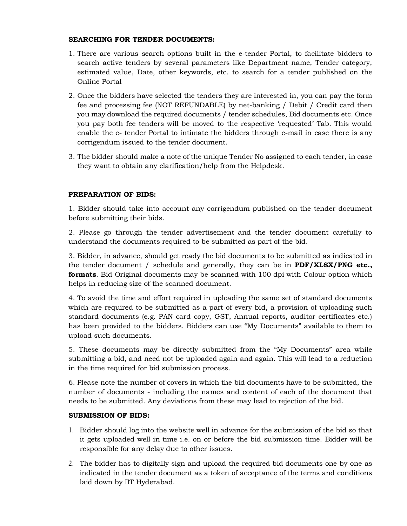#### **SEARCHING FOR TENDER DOCUMENTS:**

- 1. There are various search options built in the e-tender Portal, to facilitate bidders to search active tenders by several parameters like Department name, Tender category, estimated value, Date, other keywords, etc. to search for a tender published on the Online Portal
- 2. Once the bidders have selected the tenders they are interested in, you can pay the form fee and processing fee (NOT REFUNDABLE) by net-banking / Debit / Credit card then you may download the required documents / tender schedules, Bid documents etc. Once you pay both fee tenders will be moved to the respective 'requested' Tab. This would enable the e- tender Portal to intimate the bidders through e-mail in case there is any corrigendum issued to the tender document.
- 3. The bidder should make a note of the unique Tender No assigned to each tender, in case they want to obtain any clarification/help from the Helpdesk.

#### **PREPARATION OF BIDS:**

1. Bidder should take into account any corrigendum published on the tender document before submitting their bids.

2. Please go through the tender advertisement and the tender document carefully to understand the documents required to be submitted as part of the bid.

3. Bidder, in advance, should get ready the bid documents to be submitted as indicated in the tender document / schedule and generally, they can be in **PDF/XLSX/PNG etc., formats**. Bid Original documents may be scanned with 100 dpi with Colour option which helps in reducing size of the scanned document.

4. To avoid the time and effort required in uploading the same set of standard documents which are required to be submitted as a part of every bid, a provision of uploading such standard documents (e.g. PAN card copy, GST, Annual reports, auditor certificates etc.) has been provided to the bidders. Bidders can use "My Documents" available to them to upload such documents.

5. These documents may be directly submitted from the "My Documents" area while submitting a bid, and need not be uploaded again and again. This will lead to a reduction in the time required for bid submission process.

6. Please note the number of covers in which the bid documents have to be submitted, the number of documents - including the names and content of each of the document that needs to be submitted. Any deviations from these may lead to rejection of the bid.

#### **SUBMISSION OF BIDS:**

- 1. Bidder should log into the website well in advance for the submission of the bid so that it gets uploaded well in time i.e. on or before the bid submission time. Bidder will be responsible for any delay due to other issues.
- 2. The bidder has to digitally sign and upload the required bid documents one by one as indicated in the tender document as a token of acceptance of the terms and conditions laid down by IIT Hyderabad.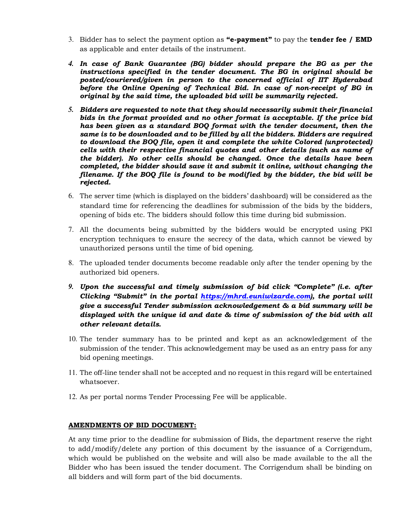- 3. Bidder has to select the payment option as **"e-payment"** to pay the **tender fee / EMD** as applicable and enter details of the instrument.
- *4. In case of Bank Guarantee (BG) bidder should prepare the BG as per the instructions specified in the tender document. The BG in original should be posted/couriered/given in person to the concerned official of IIT Hyderabad before the Online Opening of Technical Bid. In case of non-receipt of BG in original by the said time, the uploaded bid will be summarily rejected.*
- *5. Bidders are requested to note that they should necessarily submit their financial bids in the format provided and no other format is acceptable. If the price bid has been given as a standard BOQ format with the tender document, then the same is to be downloaded and to be filled by all the bidders. Bidders are required to download the BOQ file, open it and complete the white Colored (unprotected) cells with their respective financial quotes and other details (such as name of the bidder). No other cells should be changed. Once the details have been completed, the bidder should save it and submit it online, without changing the filename. If the BOQ file is found to be modified by the bidder, the bid will be rejected.*
- 6. The server time (which is displayed on the bidders' dashboard) will be considered as the standard time for referencing the deadlines for submission of the bids by the bidders, opening of bids etc. The bidders should follow this time during bid submission.
- 7. All the documents being submitted by the bidders would be encrypted using PKI encryption techniques to ensure the secrecy of the data, which cannot be viewed by unauthorized persons until the time of bid opening.
- 8. The uploaded tender documents become readable only after the tender opening by the authorized bid openers.
- *9. Upon the successful and timely submission of bid click "Complete" (i.e. after Clicking "Submit" in the portal https://mhrd.euniwizarde.com), the portal will give a successful Tender submission acknowledgement & a bid summary will be displayed with the unique id and date & time of submission of the bid with all other relevant details.*
- 10. The tender summary has to be printed and kept as an acknowledgement of the submission of the tender. This acknowledgement may be used as an entry pass for any bid opening meetings.
- 11. The off-line tender shall not be accepted and no request in this regard will be entertained whatsoever.
- 12. As per portal norms Tender Processing Fee will be applicable.

#### **AMENDMENTS OF BID DOCUMENT:**

At any time prior to the deadline for submission of Bids, the department reserve the right to add/modify/delete any portion of this document by the issuance of a Corrigendum, which would be published on the website and will also be made available to the all the Bidder who has been issued the tender document. The Corrigendum shall be binding on all bidders and will form part of the bid documents.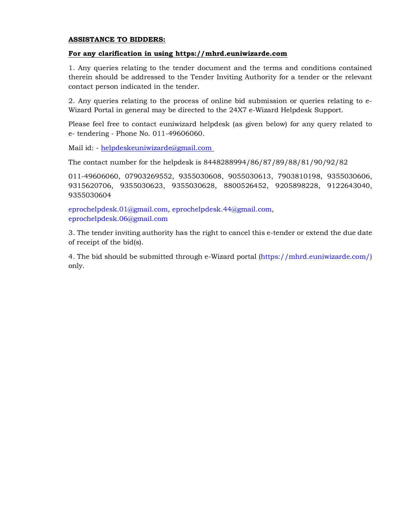#### **ASSISTANCE TO BIDDERS:**

#### **For any clarification in using https://mhrd.euniwizarde.com**

1. Any queries relating to the tender document and the terms and conditions contained therein should be addressed to the Tender Inviting Authority for a tender or the relevant contact person indicated in the tender.

2. Any queries relating to the process of online bid submission or queries relating to e-Wizard Portal in general may be directed to the 24X7 e-Wizard Helpdesk Support.

Please feel free to contact euniwizard helpdesk (as given below) for any query related to e- tendering - Phone No. 011-49606060.

Mail id: - helpdeskeuniwizarde@gmail.com

The contact number for the helpdesk is 8448288994/86/87/89/88/81/90/92/82

011-49606060, 07903269552, 9355030608, 9055030613, 7903810198, 9355030606, 9315620706, 9355030623, 9355030628, 8800526452, 9205898228, 9122643040, 9355030604

eprochelpdesk.01@gmail.com, eprochelpdesk.44@gmail.com, eprochelpdesk.06@gmail.com

3. The tender inviting authority has the right to cancel this e-tender or extend the due date of receipt of the bid(s).

4. The bid should be submitted through e-Wizard portal (https://mhrd.euniwizarde.com/) only.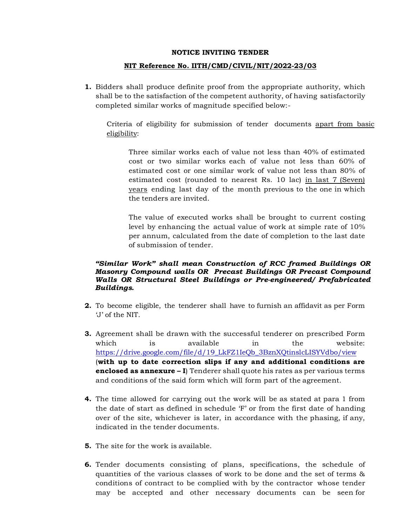#### **NOTICE INVITING TENDER**

#### **NIT Reference No. IITH/CMD/CIVIL/NIT/2022-23/03**

**1.** Bidders shall produce definite proof from the appropriate authority, which shall be to the satisfaction of the competent authority, of having satisfactorily completed similar works of magnitude specified below:-

Criteria of eligibility for submission of tender documents apart from basic eligibility:

Three similar works each of value not less than 40% of estimated cost or two similar works each of value not less than 60% of estimated cost or one similar work of value not less than 80% of estimated cost (rounded to nearest Rs. 10 lac) in last 7 (Seven) years ending last day of the month previous to the one in which the tenders are invited.

The value of executed works shall be brought to current costing level by enhancing the actual value of work at simple rate of 10% per annum, calculated from the date of completion to the last date of submission of tender.

#### *"Similar Work" shall mean Construction of RCC framed Buildings OR Masonry Compound walls OR Precast Buildings OR Precast Compound Walls OR Structural Steel Buildings or Pre-engineered/ Prefabricated Buildings.*

- **2.** To become eligible, the tenderer shall have to furnish an affidavit as per Form 'J' of the NIT.
- **3.** Agreement shall be drawn with the successful tenderer on prescribed Form which is available in the website: https://drive.google.com/file/d/19\_LkFZ1IeQb\_3BznXQtinslcLISYVdbo/view (**with up to date correction slips if any and additional conditions are enclosed as annexure – I**) Tenderer shall quote his rates as per various terms and conditions of the said form which will form part of the agreement.
- **4.** The time allowed for carrying out the work will be as stated at para 1 from the date of start as defined in schedule 'F' or from the first date of handing over of the site, whichever is later, in accordance with the phasing, if any, indicated in the tender documents.
- **5.** The site for the work is available.
- **6.** Tender documents consisting of plans, specifications, the schedule of quantities of the various classes of work to be done and the set of terms & conditions of contract to be complied with by the contractor whose tender may be accepted and other necessary documents can be seen for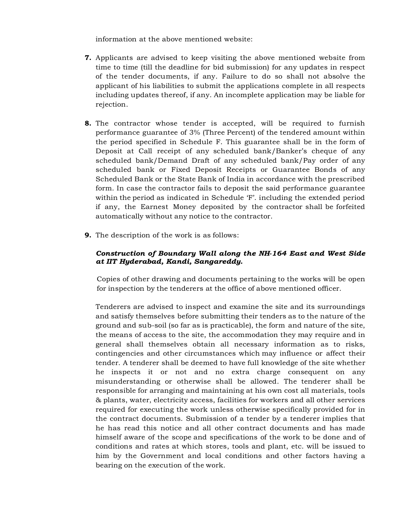information at the above mentioned website:

- **7.** Applicants are advised to keep visiting the above mentioned website from time to time (till the deadline for bid submission) for any updates in respect of the tender documents, if any. Failure to do so shall not absolve the applicant of his liabilities to submit the applications complete in all respects including updates thereof, if any. An incomplete application may be liable for rejection.
- **8.** The contractor whose tender is accepted, will be required to furnish performance guarantee of 3% (Three Percent) of the tendered amount within the period specified in Schedule F. This guarantee shall be in the form of Deposit at Call receipt of any scheduled bank/Banker's cheque of any scheduled bank/Demand Draft of any scheduled bank/Pay order of any scheduled bank or Fixed Deposit Receipts or Guarantee Bonds of any Scheduled Bank or the State Bank of India in accordance with the prescribed form. In case the contractor fails to deposit the said performance guarantee within the period as indicated in Schedule 'F'. including the extended period if any, the Earnest Money deposited by the contractor shall be forfeited automatically without any notice to the contractor.
- **9.** The description of the work is as follows:

#### *Construction of Boundary Wall along the NH-164 East and West Side at IIT Hyderabad, Kandi, Sangareddy.*

Copies of other drawing and documents pertaining to the works will be open for inspection by the tenderers at the office of above mentioned officer.

Tenderers are advised to inspect and examine the site and its surroundings and satisfy themselves before submitting their tenders as to the nature of the ground and sub-soil (so far as is practicable), the form and nature of the site, the means of access to the site, the accommodation they may require and in general shall themselves obtain all necessary information as to risks, contingencies and other circumstances which may influence or affect their tender. A tenderer shall be deemed to have full knowledge of the site whether he inspects it or not and no extra charge consequent on any misunderstanding or otherwise shall be allowed. The tenderer shall be responsible for arranging and maintaining at his own cost all materials, tools & plants, water, electricity access, facilities for workers and all other services required for executing the work unless otherwise specifically provided for in the contract documents. Submission of a tender by a tenderer implies that he has read this notice and all other contract documents and has made himself aware of the scope and specifications of the work to be done and of conditions and rates at which stores, tools and plant, etc. will be issued to him by the Government and local conditions and other factors having a bearing on the execution of the work.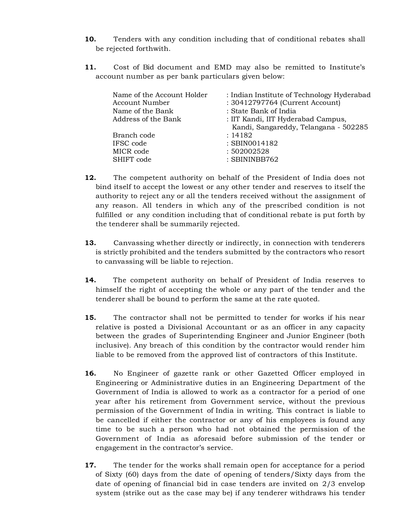- **10.** Tenders with any condition including that of conditional rebates shall be rejected forthwith.
- **11.** Cost of Bid document and EMD may also be remitted to Institute's account number as per bank particulars given below:

| Name of the Account Holder<br>Account Number<br>Name of the Bank | : Indian Institute of Technology Hyderabad<br>: 30412797764 (Current Account)<br>: State Bank of India |
|------------------------------------------------------------------|--------------------------------------------------------------------------------------------------------|
| Address of the Bank                                              | : IIT Kandi, IIT Hyderabad Campus,<br>Kandi, Sangareddy, Telangana - 502285                            |
| Branch code                                                      | : 14182                                                                                                |
| IFSC code                                                        | : SBIN0014182                                                                                          |
| MICR code                                                        | : 502002528                                                                                            |
| SHIFT code                                                       | : SBININBB762                                                                                          |

- **12.** The competent authority on behalf of the President of India does not bind itself to accept the lowest or any other tender and reserves to itself the authority to reject any or all the tenders received without the assignment of any reason. All tenders in which any of the prescribed condition is not fulfilled or any condition including that of conditional rebate is put forth by the tenderer shall be summarily rejected.
- **13.** Canvassing whether directly or indirectly, in connection with tenderers is strictly prohibited and the tenders submitted by the contractors who resort to canvassing will be liable to rejection.
- **14.** The competent authority on behalf of President of India reserves to himself the right of accepting the whole or any part of the tender and the tenderer shall be bound to perform the same at the rate quoted.
- **15.** The contractor shall not be permitted to tender for works if his near relative is posted a Divisional Accountant or as an officer in any capacity between the grades of Superintending Engineer and Junior Engineer (both inclusive). Any breach of this condition by the contractor would render him liable to be removed from the approved list of contractors of this Institute.
- **16.** No Engineer of gazette rank or other Gazetted Officer employed in Engineering or Administrative duties in an Engineering Department of the Government of India is allowed to work as a contractor for a period of one year after his retirement from Government service, without the previous permission of the Government of India in writing. This contract is liable to be cancelled if either the contractor or any of his employees is found any time to be such a person who had not obtained the permission of the Government of India as aforesaid before submission of the tender or engagement in the contractor's service.
- **17.** The tender for the works shall remain open for acceptance for a period of Sixty (60) days from the date of opening of tenders/Sixty days from the date of opening of financial bid in case tenders are invited on 2/3 envelop system (strike out as the case may be) if any tenderer withdraws his tender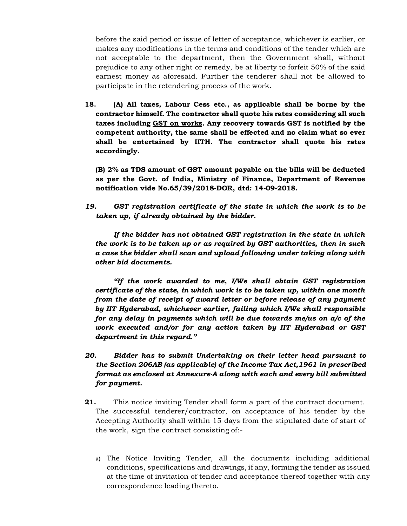before the said period or issue of letter of acceptance, whichever is earlier, or makes any modifications in the terms and conditions of the tender which are not acceptable to the department, then the Government shall, without prejudice to any other right or remedy, be at liberty to forfeit 50% of the said earnest money as aforesaid. Further the tenderer shall not be allowed to participate in the retendering process of the work.

**18. (A) All taxes, Labour Cess etc., as applicable shall be borne by the contractor himself. The contractor shall quote his rates considering all such taxes including GST on works. Any recovery towards GST is notified by the competent authority, the same shall be effected and no claim what so ever shall be entertained by IITH. The contractor shall quote his rates accordingly.** 

**(B) 2% as TDS amount of GST amount payable on the bills will be deducted as per the Govt. of India, Ministry of Finance, Department of Revenue notification vide No.65/39/2018-DOR, dtd: 14-09-2018.** 

*19. GST registration certificate of the state in which the work is to be taken up, if already obtained by the bidder.* 

 *If the bidder has not obtained GST registration in the state in which the work is to be taken up or as required by GST authorities, then in such a case the bidder shall scan and upload following under taking along with other bid documents.* 

 *"If the work awarded to me, I/We shall obtain GST registration certificate of the state, in which work is to be taken up, within one month from the date of receipt of award letter or before release of any payment by IIT Hyderabad, whichever earlier, failing which I/We shall responsible for any delay in payments which will be due towards me/us on a/c of the work executed and/or for any action taken by IIT Hyderabad or GST department in this regard."* 

- *20. Bidder has to submit Undertaking on their letter head pursuant to the Section 206AB (as applicable) of the Income Tax Act,1961 in prescribed format as enclosed at Annexure-A along with each and every bill submitted for payment.*
- **21.** This notice inviting Tender shall form a part of the contract document. The successful tenderer/contractor, on acceptance of his tender by the Accepting Authority shall within 15 days from the stipulated date of start of the work, sign the contract consisting of:
	- **a)** The Notice Inviting Tender, all the documents including additional conditions, specifications and drawings, if any, forming the tender as issued at the time of invitation of tender and acceptance thereof together with any correspondence leading thereto.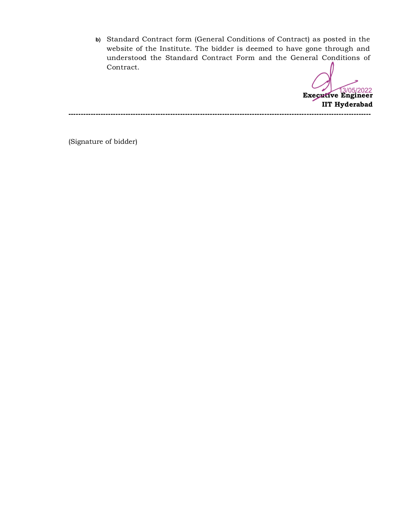**b)** Standard Contract form (General Conditions of Contract) as posted in the website of the Institute. The bidder is deemed to have gone through and understood the Standard Contract Form and the General Conditions of Contract.

**Executive Engineer**  13/05/2022**IIT Hyderabad --------------------------------------------------------------------------------------------------------------------------** 

(Signature of bidder)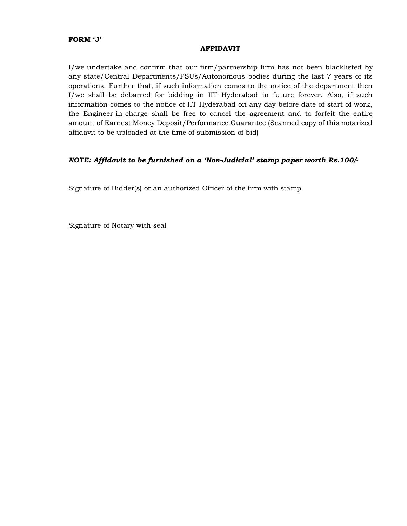#### **FORM 'J'**

#### **AFFIDAVIT**

I/we undertake and confirm that our firm/partnership firm has not been blacklisted by any state/Central Departments/PSUs/Autonomous bodies during the last 7 years of its operations. Further that, if such information comes to the notice of the department then I/we shall be debarred for bidding in IIT Hyderabad in future forever. Also, if such information comes to the notice of IIT Hyderabad on any day before date of start of work, the Engineer-in-charge shall be free to cancel the agreement and to forfeit the entire amount of Earnest Money Deposit/Performance Guarantee (Scanned copy of this notarized affidavit to be uploaded at the time of submission of bid)

#### *NOTE: Affidavit to be furnished on a 'Non-Judicial' stamp paper worth Rs.100/-*

Signature of Bidder(s) or an authorized Officer of the firm with stamp

Signature of Notary with seal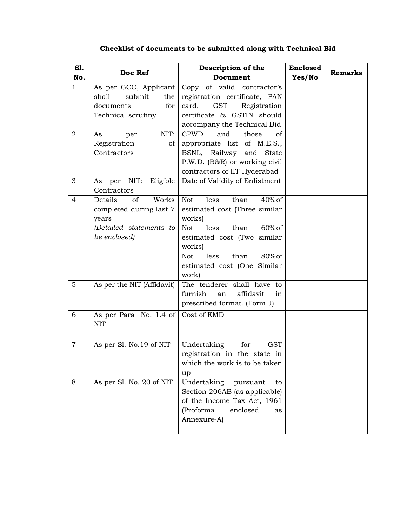| Sl.<br>No.     | Doc Ref                                                                                                          | Description of the<br>Document                                                                                                                                                                                                                         | <b>Enclosed</b><br>Yes/No | <b>Remarks</b> |
|----------------|------------------------------------------------------------------------------------------------------------------|--------------------------------------------------------------------------------------------------------------------------------------------------------------------------------------------------------------------------------------------------------|---------------------------|----------------|
| $\mathbf{1}$   | As per GCC, Applicant<br>shall<br>submit<br>the<br>for<br>documents<br>Technical scrutiny                        | Copy of valid contractor's<br>registration certificate, PAN<br><b>GST</b><br>Registration<br>card,<br>certificate & GSTIN should<br>accompany the Technical Bid                                                                                        |                           |                |
| 2              | NIT:<br>As<br>per<br>Registration<br>of<br>Contractors                                                           | <b>CPWD</b><br>and<br>those<br>οf<br>appropriate list of M.E.S.,<br>BSNL, Railway and State<br>P.W.D. (B&R) or working civil<br>contractors of IIT Hyderabad                                                                                           |                           |                |
| 3              | NIT:<br>Eligible<br>per<br>As<br>Contractors                                                                     | Date of Validity of Enlistment                                                                                                                                                                                                                         |                           |                |
| $\overline{4}$ | Works<br>Details<br><sub>of</sub><br>completed during last 7<br>years<br>(Detailed statements to<br>be enclosed) | than<br>$40\%$ of<br><b>Not</b><br>less<br>estimated cost (Three similar<br>works)<br>$60\%$ of<br>than<br><b>Not</b><br>less<br>estimated cost (Two similar<br>works)<br>80% of<br><b>Not</b><br>less<br>than<br>estimated cost (One Similar<br>work) |                           |                |
| 5              | As per the NIT (Affidavit)                                                                                       | The tenderer shall have to<br>furnish<br>affidavit<br>an<br>in<br>prescribed format. (Form J)                                                                                                                                                          |                           |                |
| 6              | As per Para No. 1.4 of<br><b>NIT</b>                                                                             | Cost of EMD                                                                                                                                                                                                                                            |                           |                |
| $\overline{7}$ | As per Sl. No.19 of NIT                                                                                          | Undertaking<br>for<br><b>GST</b><br>registration in the state in<br>which the work is to be taken<br>up                                                                                                                                                |                           |                |
| 8              | As per Sl. No. 20 of NIT                                                                                         | Undertaking<br>pursuant<br>to<br>Section 206AB (as applicable)<br>of the Income Tax Act, 1961<br>(Proforma<br>enclosed<br>as<br>Annexure-A)                                                                                                            |                           |                |

### **Checklist of documents to be submitted along with Technical Bid**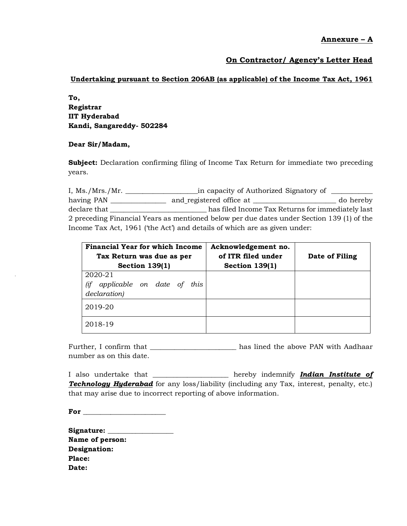**Annexure – A** 

#### **On Contractor/ Agency's Letter Head**

#### **Undertaking pursuant to Section 206AB (as applicable) of the Income Tax Act, 1961**

**To, Registrar IIT Hyderabad Kandi, Sangareddy- 502284** 

#### **Dear Sir/Madam,**

**Subject:** Declaration confirming filing of Income Tax Return for immediate two preceding years.

I, Ms./Mrs./Mr. \_\_\_\_\_\_\_\_\_\_\_\_\_\_\_\_\_\_\_\_\_\_\_in capacity of Authorized Signatory of \_\_\_\_\_\_ having PAN \_\_\_\_\_\_\_\_\_\_\_\_\_\_\_\_ and registered office at \_\_\_\_\_\_\_\_\_\_\_\_\_\_\_\_\_\_\_\_\_\_\_\_ do hereby declare that \_\_\_\_\_\_\_\_\_\_\_\_\_\_\_\_\_\_\_\_\_\_\_\_\_\_\_\_ has filed Income Tax Returns for immediately last 2 preceding Financial Years as mentioned below per due dates under Section 139 (1) of the Income Tax Act, 1961 ('the Act') and details of which are as given under:

| <b>Financial Year for which Income</b><br>Tax Return was due as per<br>Section $139(1)$ | Acknowledgement no.<br>of ITR filed under<br>Section $139(1)$ | Date of Filing |
|-----------------------------------------------------------------------------------------|---------------------------------------------------------------|----------------|
| 2020-21<br>applicable on date of<br>$\lim$<br>this<br>declaration)                      |                                                               |                |
| 2019-20                                                                                 |                                                               |                |
| 2018-19                                                                                 |                                                               |                |

Further, I confirm that \_\_\_\_\_\_\_\_\_\_\_\_\_\_\_\_\_\_\_\_\_\_\_\_\_ has lined the above PAN with Aadhaar number as on this date.

I also undertake that \_\_\_\_\_\_\_\_\_\_\_\_\_\_\_\_\_\_\_\_\_\_ hereby indemnify *Indian Institute of*  **Technology Hyderabad** for any loss/liability (including any Tax, interest, penalty, etc.) that may arise due to incorrect reporting of above information.

**For** *\_\_\_\_\_\_\_\_\_\_\_\_\_\_\_\_\_\_\_\_\_\_\_\_* 

| Signature: __   |  |
|-----------------|--|
| Name of person: |  |
| Designation:    |  |
| Place:          |  |
| Date:           |  |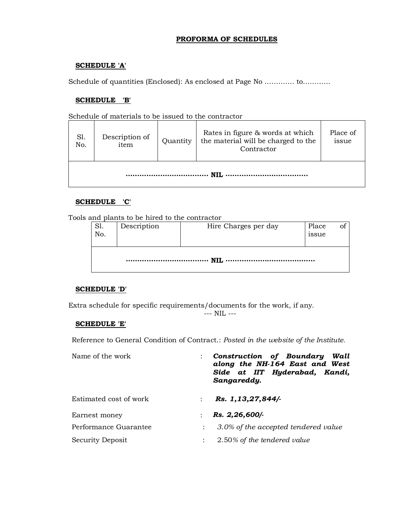#### **PROFORMA OF SCHEDULES**

#### **SCHEDULE 'A'**

Schedule of quantities (Enclosed): As enclosed at Page No …………. to…………

#### **SCHEDULE 'B'**

Schedule of materials to be issued to the contractor

| S1.<br>No. | Description of<br>item | Quantity | Rates in figure & words at which<br>the material will be charged to the<br>Contractor | Place of<br>issue |
|------------|------------------------|----------|---------------------------------------------------------------------------------------|-------------------|
|            |                        |          |                                                                                       |                   |

#### **SCHEDULE 'C'**

Tools and plants to be hired to the contractor

| S1.<br>No. | Description | Hire Charges per day | Place<br>1ssue |  |
|------------|-------------|----------------------|----------------|--|
|            |             |                      |                |  |

#### **SCHEDULE 'D'**

Extra schedule for specific requirements/documents for the work, if any.

--- NIL ---

#### **SCHEDULE 'E'**

Reference to General Condition of Contract.: *Posted in the website of the Institute.* 

| Name of the work       | Construction of Boundary<br>Wall<br>along the NH-164 East and West<br>Side at IIT Hyderabad, Kandi,<br>Sangareddy. |
|------------------------|--------------------------------------------------------------------------------------------------------------------|
| Estimated cost of work | Rs. 1, 13, 27, 844/-<br>$\mathbf{r}$                                                                               |
| Earnest money          | Rs. 2,26,600/-                                                                                                     |
| Performance Guarantee  | 3.0% of the accepted tendered value<br>$\mathbb{R}^{\mathbb{Z}}$                                                   |
| Security Deposit       | 2.50% of the tendered value<br>$\ddot{\phantom{a}}$                                                                |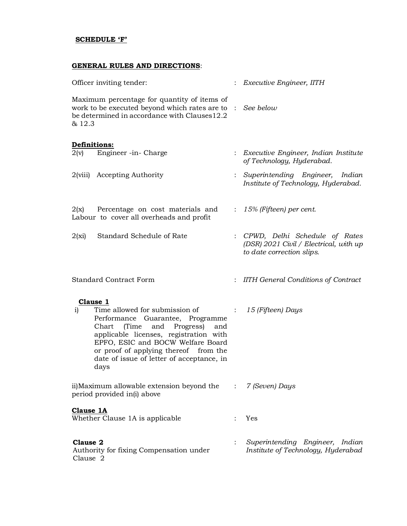#### **SCHEDULE 'F'**

#### **GENERAL RULES AND DIRECTIONS**:

| Officer inviting tender:                                                                                                                                                                                                                                                                                       |                           | $:$ Executive Engineer, IITH                                                                           |
|----------------------------------------------------------------------------------------------------------------------------------------------------------------------------------------------------------------------------------------------------------------------------------------------------------------|---------------------------|--------------------------------------------------------------------------------------------------------|
| Maximum percentage for quantity of items of<br>work to be executed beyond which rates are to : See below<br>be determined in accordance with Clauses12.2<br>& 12.3                                                                                                                                             |                           |                                                                                                        |
| <b>Definitions:</b>                                                                                                                                                                                                                                                                                            |                           |                                                                                                        |
| $2(v)$ Engineer -in- Charge                                                                                                                                                                                                                                                                                    |                           | : Executive Engineer, Indian Institute<br>of Technology, Hyderabad.                                    |
| 2(viii) Accepting Authority                                                                                                                                                                                                                                                                                    |                           | Superintending Engineer, Indian<br>Institute of Technology, Hyderabad.                                 |
| $2(x)$ Percentage on cost materials and<br>Labour to cover all overheads and profit                                                                                                                                                                                                                            | $\mathbb{Z}^{\times}$ .   | 15% (Fifteen) per cent.                                                                                |
| $2(x_i)$<br>Standard Schedule of Rate                                                                                                                                                                                                                                                                          |                           | : CPWD, Delhi Schedule of Rates<br>(DSR) 2021 Civil / Electrical, with up<br>to date correction slips. |
| <b>Standard Contract Form</b>                                                                                                                                                                                                                                                                                  |                           | : IITH General Conditions of Contract                                                                  |
| Clause 1<br>Time allowed for submission of<br>i)<br>Performance Guarantee, Programme<br>and<br>(Time<br>Progress)<br>Chart<br>and<br>applicable licenses, registration with<br>EPFO, ESIC and BOCW Welfare Board<br>or proof of applying thereof from the<br>date of issue of letter of acceptance, in<br>days | $\mathbb{Z}^{\mathbb{Z}}$ | 15 (Fifteen) Days                                                                                      |
| ii)Maximum allowable extension beyond the<br>period provided in(i) above                                                                                                                                                                                                                                       | $\mathbb{C}^{\times}$     | 7 (Seven) Days                                                                                         |
| <b>Clause 1A</b><br>Whether Clause 1A is applicable                                                                                                                                                                                                                                                            |                           | Yes                                                                                                    |
| Clause 2<br>Authority for fixing Compensation under<br>Clause 2                                                                                                                                                                                                                                                |                           | Superintending Engineer, Indian<br>Institute of Technology, Hyderabad                                  |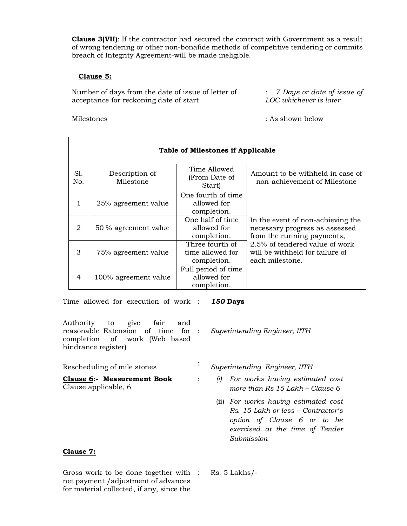**Clause 3(VII)**: If the contractor had secured the contract with Government as a result of wrong tendering or other non-bonafide methods of competitive tendering or commits breach of Integrity Agreement-will be made ineligible.

#### **Clause 5:**

Number of days from the date of issue of letter of acceptance for reckoning date of start

Milestones : As shown below

: *7 Days or date of issue of LOC whichever is later*

|            | <b>Table of Milestones if Applicable</b> |                                                    |                                                                                                   |  |  |  |
|------------|------------------------------------------|----------------------------------------------------|---------------------------------------------------------------------------------------------------|--|--|--|
| SI.<br>No. | Description of<br>Milestone              | Time Allowed<br>(From Date of<br>Start)            | Amount to be withheld in case of<br>non-achievement of Milestone                                  |  |  |  |
| 1          | 25% agreement value                      | One fourth of time.<br>allowed for<br>completion.  |                                                                                                   |  |  |  |
| 2          | 50 % agreement value                     | One half of time<br>allowed for<br>completion.     | In the event of non-achieving the<br>necessary progress as assessed<br>from the running payments, |  |  |  |
| 3          | 75% agreement value                      | Three fourth of<br>time allowed for<br>completion. | 2.5% of tendered value of work<br>will be withheld for failure of<br>each milestone.              |  |  |  |
| 4          | 100% agreement value                     | Full period of time<br>allowed for<br>completion.  |                                                                                                   |  |  |  |

Time allowed for execution of work : *150* **Days**

| Authority to give<br>fair<br>and<br>reasonable Extension of time for :<br>completion of work (Web based<br>hindrance register) | Superintending Engineer, IITH                                                               |
|--------------------------------------------------------------------------------------------------------------------------------|---------------------------------------------------------------------------------------------|
| Rescheduling of mile stones                                                                                                    | Superintending Engineer, IITH                                                               |
| Clause 6:- Measurement Book<br>Clause applicable, 6                                                                            | For works having estimated cost<br>$\left( u\right)$<br>more than $Rs 15$ Lakh – Clause $6$ |
|                                                                                                                                | (ii) For works having estimated cost                                                        |

(ii) *For works having estimated cost Rs. 15 Lakh or less – Contractor's option of Clause 6 or to be exercised at the time of Tender Submission*

#### **Clause 7:**

Gross work to be done together with net payment /adjustment of advances for material collected, if any, since the

: Rs. 5 Lakhs/-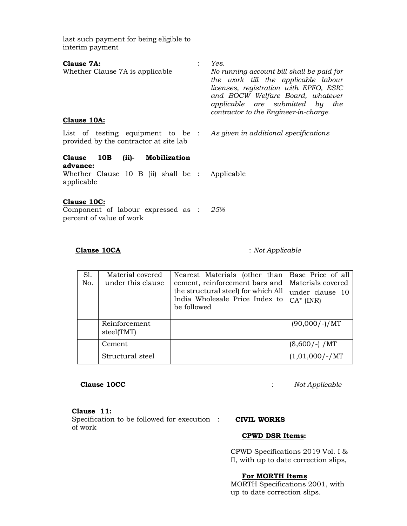last such payment for being eligible to interim payment

| Clause 7A:<br>Whether Clause 7A is applicable<br>Clause 10A:                                                             | Yes.<br>No running account bill shall be paid for<br>the work till the applicable labour<br>licenses, registration with EPFO, ESIC<br>and BOCW Welfare Board, whatever<br>applicable are submitted by the<br>contractor to the Engineer-in-charge. |
|--------------------------------------------------------------------------------------------------------------------------|----------------------------------------------------------------------------------------------------------------------------------------------------------------------------------------------------------------------------------------------------|
| List of testing equipment to be : As given in additional specifications<br>provided by the contractor at site lab        |                                                                                                                                                                                                                                                    |
| Clause 10B<br><b>Mobilization</b><br>$(ii)-$<br>advance:<br>Whether Clause 10 B (ii) shall be : Applicable<br>applicable |                                                                                                                                                                                                                                                    |
| Clause 10C:                                                                                                              |                                                                                                                                                                                                                                                    |

Component of labour expressed as : *25%*  percent of value of work

 **Clause 10CA** : *Not Applicable* 

| S1. | Material covered  | Nearest Materials (other than                 | Base Price of all |
|-----|-------------------|-----------------------------------------------|-------------------|
| No. | under this clause | cement, reinforcement bars and                | Materials covered |
|     |                   | the structural steel) for which All           | under clause 10   |
|     |                   | India Wholesale Price Index to<br>be followed | $CA^*$ (INR)      |
|     |                   |                                               |                   |
|     | Reinforcement     |                                               | $(90,000/-)/MT$   |
|     | steel(TMT)        |                                               |                   |
|     | Cement            |                                               | $(8,600/-) / MT$  |
|     | Structural steel  |                                               | $(1,01,000/-/MT)$ |

 **Clause 10CC** : *Not Applicable*

**Clause 11:**  Specification to be followed for execution of work

#### : **CIVIL WORKS**

#### **CPWD DSR Items:**

CPWD Specifications 2019 Vol. I & II, with up to date correction slips,

#### **For MORTH Items**

MORTH Specifications 2001, with up to date correction slips.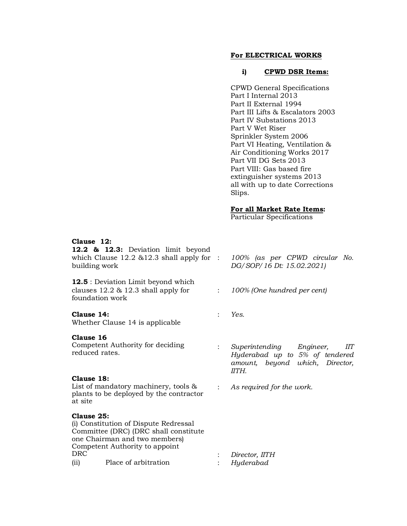#### **For ELECTRICAL WORKS**

#### **i) CPWD DSR Items:**

CPWD General Specifications Part I Internal 2013 Part II External 1994 Part III Lifts & Escalators 2003 Part IV Substations 2013 Part V Wet Riser Sprinkler System 2006 Part VI Heating, Ventilation & Air Conditioning Works 2017 Part VII DG Sets 2013 Part VIII: Gas based fire extinguisher systems 2013 all with up to date Corrections Slips.

#### **For all Market Rate Items:**

Particular Specifications

#### **Clause 12:**

**12.2 & 12.3:** Deviation limit beyond which Clause 12.2 & 12.3 shall apply for : building work

**12.5** : Deviation Limit beyond which clauses 12.2 & 12.3 shall apply for foundation work

#### **Clause 14:**

Whether Clause 14 is applicable

#### **Clause 16**

Competent Authority for deciding reduced rates.

#### **Clause 18:**

List of mandatory machinery, tools & plants to be deployed by the contractor at site

#### **Clause 25:**

(i) Constitution of Dispute Redressal Committee (DRC) (DRC shall constitute one Chairman and two members) Competent Authority to appoint (ii) Place of arbitration : *Hyderabad* 

- : *100% (as per CPWD circular No. DG/SOP/16 Dt: 15.02.2021)*
- : *100% (One hundred per cent)*
- : *Yes.*
- : *Superintending Engineer, IIT Hyderabad up to 5% of tendered amount, beyond which, Director, IITH.*
- : *As required for the work.*

- : Director, IITH
-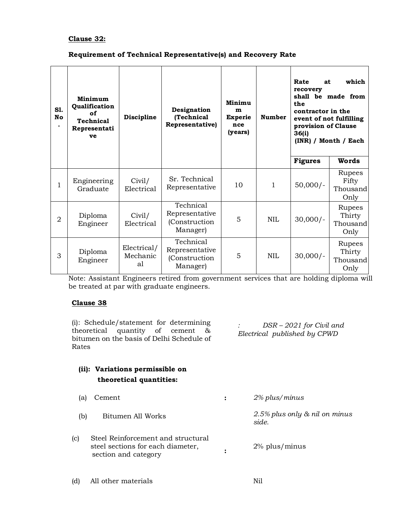#### **Clause 32:**

#### **Requirement of Technical Representative(s) and Recovery Rate**

| S1.<br>No      | Minimum<br>Qualification<br>оf<br>Technical<br>Representati<br>ve | Discipline                    | Designation<br>(Technical<br>Representative)             | Minimu<br>m<br><b>Experie</b><br>nce<br>(years) | <b>Number</b> | Rate<br>at<br>recovery<br>the<br>contractor in the<br>provision of Clause<br>36(i) | which<br>shall be made from<br>event of not fulfilling<br>(INR) / Month / Each |
|----------------|-------------------------------------------------------------------|-------------------------------|----------------------------------------------------------|-------------------------------------------------|---------------|------------------------------------------------------------------------------------|--------------------------------------------------------------------------------|
|                |                                                                   |                               |                                                          |                                                 |               | <b>Figures</b>                                                                     | Words                                                                          |
| 1              | Engineering<br>Graduate                                           | Civil/<br>Electrical          | Sr. Technical<br>Representative                          | 10                                              | 1             | $50,000/-$                                                                         | Rupees<br>Fifty<br>Thousand<br>Only                                            |
| $\overline{2}$ | Diploma<br>Engineer                                               | Civil/<br>Electrical          | Technical<br>Representative<br>(Construction<br>Manager) | 5                                               | NIL           | $30,000/-$                                                                         | Rupees<br>Thirty<br>Thousand<br>Only                                           |
| 3              | Diploma<br>Engineer                                               | Electrical/<br>Mechanic<br>al | Technical<br>Representative<br>(Construction<br>Manager) | 5                                               | <b>NIL</b>    | $30,000/-$                                                                         | Rupees<br>Thirty<br>Thousand<br>Only                                           |

Note: Assistant Engineers retired from government services that are holding diploma will be treated at par with graduate engineers.

#### **Clause 38**

(i): Schedule/statement for determining theoretical quantity of cement & bitumen on the basis of Delhi Schedule of Rates

*: DSR – 2021 for Civil and Electrical published by CPWD* 

| (ii): Variations permissible on<br>theoretical quantities: |               |
|------------------------------------------------------------|---------------|
| (a) Cement                                                 | 2% plus/minus |

(b) Bitumen All Works *2.5% plus only & nil on minus* 

- *side.*
- (c) Steel Reinforcement and structural steel sections for each diameter, section and category **:**<br>section and category **:** 2% plus/minus
- (d) All other materials Nil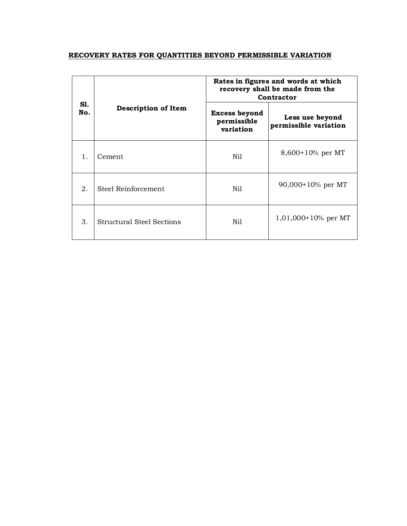#### **RECOVERY RATES FOR QUANTITIES BEYOND PERMISSIBLE VARIATION**

|            |                            | Rates in figures and words at which<br>recovery shall be made from the<br>Contractor |                                          |  |
|------------|----------------------------|--------------------------------------------------------------------------------------|------------------------------------------|--|
| SI.<br>No. | <b>Description of Item</b> | Excess beyond<br>permissible<br>variation                                            | Less use beyond<br>permissible variation |  |
| 1.         | Cement                     | Nil                                                                                  | $8,600+10\%$ per MT                      |  |
| 2.         | Steel Reinforcement        | Nil                                                                                  | $90,000+10\%$ per MT                     |  |
| 3.         | Structural Steel Sections  | Nil.                                                                                 | $1,01,000+10%$ per MT                    |  |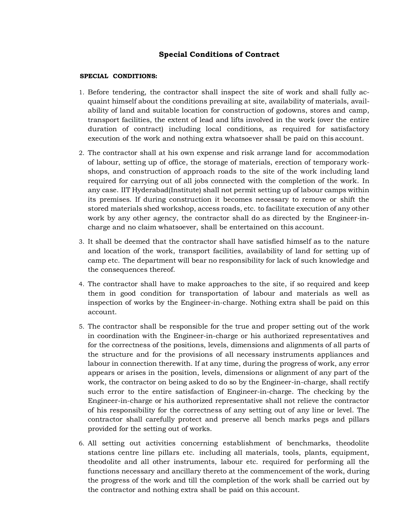#### **Special Conditions of Contract**

#### **SPECIAL CONDITIONS:**

- 1. Before tendering, the contractor shall inspect the site of work and shall fully acquaint himself about the conditions prevailing at site, availability of materials, availability of land and suitable location for construction of godowns, stores and camp, transport facilities, the extent of lead and lifts involved in the work (over the entire duration of contract) including local conditions, as required for satisfactory execution of the work and nothing extra whatsoever shall be paid on this account.
- 2. The contractor shall at his own expense and risk arrange land for accommodation of labour, setting up of office, the storage of materials, erection of temporary workshops, and construction of approach roads to the site of the work including land required for carrying out of all jobs connected with the completion of the work. In any case. IIT Hyderabad(Institute) shall not permit setting up of labour camps within its premises. If during construction it becomes necessary to remove or shift the stored materials shed workshop, access roads, etc. to facilitate execution of any other work by any other agency, the contractor shall do as directed by the Engineer-incharge and no claim whatsoever, shall be entertained on this account.
- 3. It shall be deemed that the contractor shall have satisfied himself as to the nature and location of the work, transport facilities, availability of land for setting up of camp etc. The department will bear no responsibility for lack of such knowledge and the consequences thereof.
- 4. The contractor shall have to make approaches to the site, if so required and keep them in good condition for transportation of labour and materials as well as inspection of works by the Engineer-in-charge. Nothing extra shall be paid on this account.
- 5. The contractor shall be responsible for the true and proper setting out of the work in coordination with the Engineer-in-charge or his authorized representatives and for the correctness of the positions, levels, dimensions and alignments of all parts of the structure and for the provisions of all necessary instruments appliances and labour in connection therewith. If at any time, during the progress of work, any error appears or arises in the position, levels, dimensions or alignment of any part of the work, the contractor on being asked to do so by the Engineer-in-charge, shall rectify such error to the entire satisfaction of Engineer-in-charge. The checking by the Engineer-in-charge or his authorized representative shall not relieve the contractor of his responsibility for the correctness of any setting out of any line or level. The contractor shall carefully protect and preserve all bench marks pegs and pillars provided for the setting out of works.
- 6. All setting out activities concerning establishment of benchmarks, theodolite stations centre line pillars etc. including all materials, tools, plants, equipment, theodolite and all other instruments, labour etc. required for performing all the functions necessary and ancillary thereto at the commencement of the work, during the progress of the work and till the completion of the work shall be carried out by the contractor and nothing extra shall be paid on this account.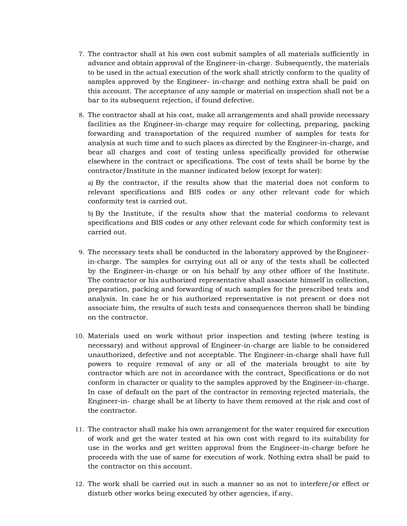- 7. The contractor shall at his own cost submit samples of all materials sufficiently in advance and obtain approval of the Engineer-in-charge. Subsequently, the materials to be used in the actual execution of the work shall strictly conform to the quality of samples approved by the Engineer- in-charge and nothing extra shall be paid on this account. The acceptance of any sample or material on inspection shall not be a bar to its subsequent rejection, if found defective.
- 8. The contractor shall at his cost, make all arrangements and shall provide necessary facilities as the Engineer-in-charge may require for collecting, preparing, packing forwarding and transportation of the required number of samples for tests for analysis at such time and to such places as directed by the Engineer-in-charge, and bear all charges and cost of testing unless specifically provided for otherwise elsewhere in the contract or specifications. The cost of tests shall be borne by the contractor/Institute in the manner indicated below (except for water):

a) By the contractor, if the results show that the material does not conform to relevant specifications and BIS codes or any other relevant code for which conformity test is carried out.

b) By the Institute, if the results show that the material conforms to relevant specifications and BIS codes or any other relevant code for which conformity test is carried out.

- 9. The necessary tests shall be conducted in the laboratory approved by the Engineerin-charge. The samples for carrying out all or any of the tests shall be collected by the Engineer-in-charge or on his behalf by any other officer of the Institute. The contractor or his authorized representative shall associate himself in collection, preparation, packing and forwarding of such samples for the prescribed tests and analysis. In case he or his authorized representative is not present or does not associate him, the results of such tests and consequences thereon shall be binding on the contractor.
- 10. Materials used on work without prior inspection and testing (where testing is necessary) and without approval of Engineer-in-charge are liable to be considered unauthorized, defective and not acceptable. The Engineer-in-charge shall have full powers to require removal of any or all of the materials brought to site by contractor which are not in accordance with the contract, Specifications or do not conform in character or quality to the samples approved by the Engineer-in-charge. In case of default on the part of the contractor in removing rejected materials, the Engineer-in- charge shall be at liberty to have them removed at the risk and cost of the contractor.
- 11. The contractor shall make his own arrangement for the water required for execution of work and get the water tested at his own cost with regard to its suitability for use in the works and get written approval from the Engineer-in-charge before he proceeds with the use of same for execution of work. Nothing extra shall be paid to the contractor on this account.
- 12. The work shall be carried out in such a manner so as not to interfere/or effect or disturb other works being executed by other agencies, if any.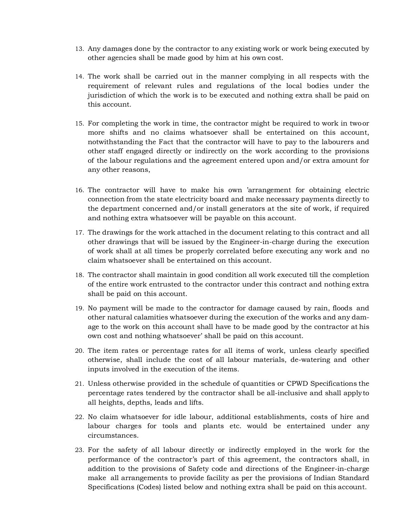- 13. Any damages done by the contractor to any existing work or work being executed by other agencies shall be made good by him at his own cost.
- 14. The work shall be carried out in the manner complying in all respects with the requirement of relevant rules and regulations of the local bodies under the jurisdiction of which the work is to be executed and nothing extra shall be paid on this account.
- 15. For completing the work in time, the contractor might be required to work in two or more shifts and no claims whatsoever shall be entertained on this account, notwithstanding the Fact that the contractor will have to pay to the labourers and other staff engaged directly or indirectly on the work according to the provisions of the labour regulations and the agreement entered upon and/or extra amount for any other reasons,
- 16. The contractor will have to make his own 'arrangement for obtaining electric connection from the state electricity board and make necessary payments directly to the department concerned and/or install generators at the site of work, if required and nothing extra whatsoever will be payable on this account.
- 17. The drawings for the work attached in the document relating to this contract and all other drawings that will be issued by the Engineer-in-charge during the execution of work shall at all times be properly correlated before executing any work and no claim whatsoever shall be entertained on this account.
- 18. The contractor shall maintain in good condition all work executed till the completion of the entire work entrusted to the contractor under this contract and nothing extra shall be paid on this account.
- 19. No payment will be made to the contractor for damage caused by rain, floods and other natural calamities whatsoever during the execution of the works and any damage to the work on this account shall have to be made good by the contractor at his own cost and nothing whatsoever' shall be paid on this account.
- 20. The item rates or percentage rates for all items of work, unless clearly specified otherwise, shall include the cost of all labour materials, de-watering and other inputs involved in the execution of the items.
- 21. Unless otherwise provided in the schedule of quantities or CPWD Specifications the percentage rates tendered by the contractor shall be all-inclusive and shall apply to all heights, depths, leads and lifts.
- 22. No claim whatsoever for idle labour, additional establishments, costs of hire and labour charges for tools and plants etc. would be entertained under any circumstances.
- 23. For the safety of all labour directly or indirectly employed in the work for the performance of the contractor's part of this agreement, the contractors shall, in addition to the provisions of Safety code and directions of the Engineer-in-charge make all arrangements to provide facility as per the provisions of Indian Standard Specifications (Codes) listed below and nothing extra shall be paid on this account.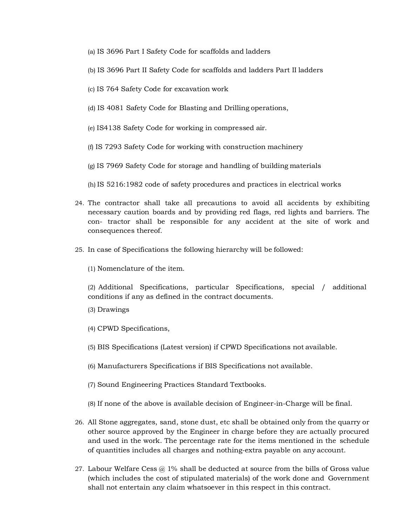- (a) IS 3696 Part I Safety Code for scaffolds and ladders
- (b) IS 3696 Part II Safety Code for scaffolds and ladders Part II ladders
- (c) IS 764 Safety Code for excavation work
- (d) IS 4081 Safety Code for Blasting and Drilling operations,
- (e) IS4138 Safety Code for working in compressed air.
- (f) IS 7293 Safety Code for working with construction machinery
- (g) IS 7969 Safety Code for storage and handling of building materials
- (h) IS 5216:1982 code of safety procedures and practices in electrical works
- 24. The contractor shall take all precautions to avoid all accidents by exhibiting necessary caution boards and by providing red flags, red lights and barriers. The con- tractor shall be responsible for any accident at the site of work and consequences thereof.
- 25. In case of Specifications the following hierarchy will be followed:
	- (1) Nomenclature of the item.

(2) Additional Specifications, particular Specifications, special / additional conditions if any as defined in the contract documents.

- (3) Drawings
- (4) CPWD Specifications,
- (5) BIS Specifications (Latest version) if CPWD Specifications not available.
- (6) Manufacturers Specifications if BIS Specifications not available.
- (7) Sound Engineering Practices Standard Textbooks.
- (8) If none of the above is available decision of Engineer-in-Charge will be final.
- 26. All Stone aggregates, sand, stone dust, etc shall be obtained only from the quarry or other source approved by the Engineer in charge before they are actually procured and used in the work. The percentage rate for the items mentioned in the schedule of quantities includes all charges and nothing-extra payable on any account.
- 27. Labour Welfare Cess @ 1% shall be deducted at source from the bills of Gross value (which includes the cost of stipulated materials) of the work done and Government shall not entertain any claim whatsoever in this respect in this contract.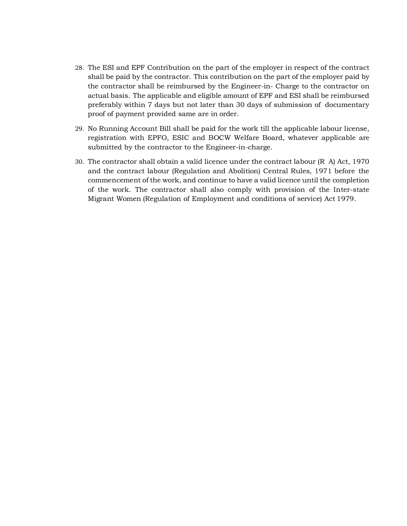- 28. The ESI and EPF Contribution on the part of the employer in respect of the contract shall be paid by the contractor. This contribution on the part of the employer paid by the contractor shall be reimbursed by the Engineer-in- Charge to the contractor on actual basis. The applicable and eligible amount of EPF and ESI shall be reimbursed preferably within 7 days but not later than 30 days of submission of documentary proof of payment provided same are in order.
- 29. No Running Account Bill shall be paid for the work till the applicable labour license, registration with EPFO, ESIC and BOCW Welfare Board, whatever applicable are submitted by the contractor to the Engineer-in-charge.
- 30. The contractor shall obtain a valid licence under the contract labour (R A) Act, 1970 and the contract labour (Regulation and Abolition) Central Rules, 1971 before the commencement of the work, and continue to have a valid licence until the completion of the work. The contractor shall also comply with provision of the Inter-state Migrant Women (Regulation of Employment and conditions of service) Act 1979.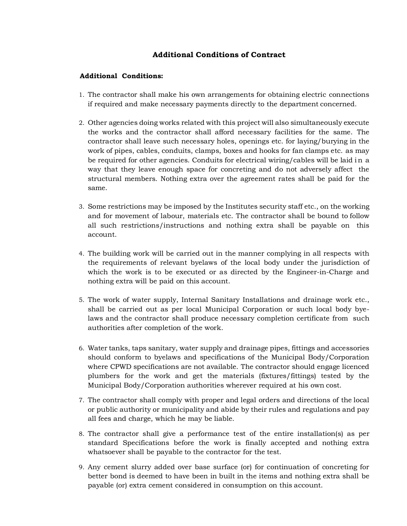#### **Additional Conditions of Contract**

#### **Additional Conditions:**

- 1. The contractor shall make his own arrangements for obtaining electric connections if required and make necessary payments directly to the department concerned.
- 2. Other agencies doing works related with this project will also simultaneously execute the works and the contractor shall afford necessary facilities for the same. The contractor shall leave such necessary holes, openings etc. for laying/burying in the work of pipes, cables, conduits, clamps, boxes and hooks for fan clamps etc. as may be required for other agencies. Conduits for electrical wiring/cables will be laid in a way that they leave enough space for concreting and do not adversely affect the structural members. Nothing extra over the agreement rates shall be paid for the same.
- 3. Some restrictions may be imposed by the Institutes security staff etc., on the working and for movement of labour, materials etc. The contractor shall be bound to follow all such restrictions/instructions and nothing extra shall be payable on this account.
- 4. The building work will be carried out in the manner complying in all respects with the requirements of relevant byelaws of the local body under the jurisdiction of which the work is to be executed or as directed by the Engineer-in-Charge and nothing extra will be paid on this account.
- 5. The work of water supply, Internal Sanitary Installations and drainage work etc., shall be carried out as per local Municipal Corporation or such local body byelaws and the contractor shall produce necessary completion certificate from such authorities after completion of the work.
- 6. Water tanks, taps sanitary, water supply and drainage pipes, fittings and accessories should conform to byelaws and specifications of the Municipal Body/Corporation where CPWD specifications are not available. The contractor should engage licenced plumbers for the work and get the materials (fixtures/fittings) tested by the Municipal Body/Corporation authorities wherever required at his own cost.
- 7. The contractor shall comply with proper and legal orders and directions of the local or public authority or municipality and abide by their rules and regulations and pay all fees and charge, which he may be liable.
- 8. The contractor shall give a performance test of the entire installation(s) as per standard Specifications before the work is finally accepted and nothing extra whatsoever shall be payable to the contractor for the test.
- 9. Any cement slurry added over base surface (or) for continuation of concreting for better bond is deemed to have been in built in the items and nothing extra shall be payable (or) extra cement considered in consumption on this account.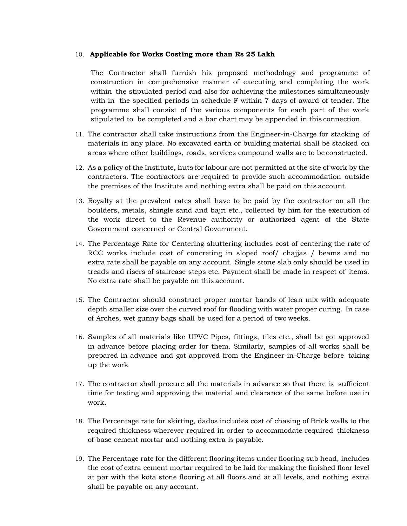#### 10. **Applicable for Works Costing more than Rs 25 Lakh**

The Contractor shall furnish his proposed methodology and programme of construction in comprehensive manner of executing and completing the work within the stipulated period and also for achieving the milestones simultaneously with in the specified periods in schedule F within 7 days of award of tender. The programme shall consist of the various components for each part of the work stipulated to be completed and a bar chart may be appended in this connection.

- 11. The contractor shall take instructions from the Engineer-in-Charge for stacking of materials in any place. No excavated earth or building material shall be stacked on areas where other buildings, roads, services compound walls are to be constructed.
- 12. As a policy of the Institute, huts for labour are not permitted at the site of work by the contractors. The contractors are required to provide such accommodation outside the premises of the Institute and nothing extra shall be paid on this account.
- 13. Royalty at the prevalent rates shall have to be paid by the contractor on all the boulders, metals, shingle sand and bajri etc., collected by him for the execution of the work direct to the Revenue authority or authorized agent of the State Government concerned or Central Government.
- 14. The Percentage Rate for Centering shuttering includes cost of centering the rate of RCC works include cost of concreting in sloped roof/ chajjas / beams and no extra rate shall be payable on any account. Single stone slab only should be used in treads and risers of staircase steps etc. Payment shall be made in respect of items. No extra rate shall be payable on this account.
- 15. The Contractor should construct proper mortar bands of lean mix with adequate depth smaller size over the curved roof for flooding with water proper curing. In case of Arches, wet gunny bags shall be used for a period of two weeks.
- 16. Samples of all materials like UPVC Pipes, fittings, tiles etc., shall be got approved in advance before placing order for them. Similarly, samples of all works shall be prepared in advance and got approved from the Engineer-in-Charge before taking up the work
- 17. The contractor shall procure all the materials in advance so that there is sufficient time for testing and approving the material and clearance of the same before use in work.
- 18. The Percentage rate for skirting, dados includes cost of chasing of Brick walls to the required thickness wherever required in order to accommodate required thickness of base cement mortar and nothing extra is payable.
- 19. The Percentage rate for the different flooring items under flooring sub head, includes the cost of extra cement mortar required to be laid for making the finished floor level at par with the kota stone flooring at all floors and at all levels, and nothing extra shall be payable on any account.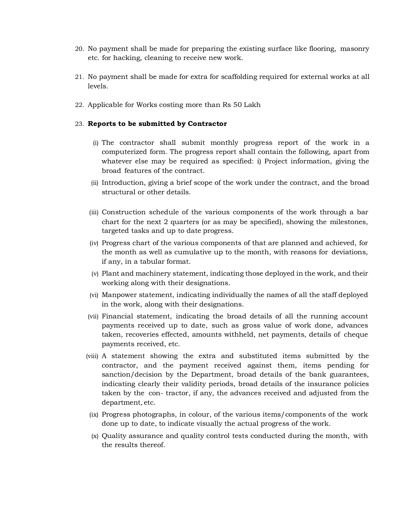- 20. No payment shall be made for preparing the existing surface like flooring, masonry etc. for hacking, cleaning to receive new work.
- 21. No payment shall be made for extra for scaffolding required for external works at all levels.
- 22. Applicable for Works costing more than Rs 50 Lakh

#### 23. **Reports to be submitted by Contractor**

- (i) The contractor shall submit monthly progress report of the work in a computerized form. The progress report shall contain the following, apart from whatever else may be required as specified: i) Project information, giving the broad features of the contract.
- (ii) Introduction, giving a brief scope of the work under the contract, and the broad structural or other details.
- (iii) Construction schedule of the various components of the work through a bar chart for the next 2 quarters (or as may be specified), showing the milestones, targeted tasks and up to date progress.
- (iv) Progress chart of the various components of that are planned and achieved, for the month as well as cumulative up to the month, with reasons for deviations, if any, in a tabular format.
- (v) Plant and machinery statement, indicating those deployed in the work, and their working along with their designations.
- (vi) Manpower statement, indicating individually the names of all the staff deployed in the work, along with their designations.
- (vii) Financial statement, indicating the broad details of all the running account payments received up to date, such as gross value of work done, advances taken, recoveries effected, amounts withheld, net payments, details of cheque payments received, etc.
- (viii) A statement showing the extra and substituted items submitted by the contractor, and the payment received against them, items pending for sanction/decision by the Department, broad details of the bank guarantees, indicating clearly their validity periods, broad details of the insurance policies taken by the con- tractor, if any, the advances received and adjusted from the department, etc.
- (ix) Progress photographs, in colour, of the various items/components of the work done up to date, to indicate visually the actual progress of the work.
- (x) Quality assurance and quality control tests conducted during the month, with the results thereof.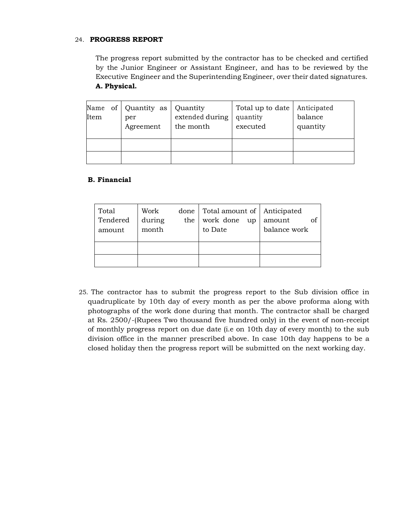#### 24. **PROGRESS REPORT**

The progress report submitted by the contractor has to be checked and certified by the Junior Engineer or Assistant Engineer, and has to be reviewed by the Executive Engineer and the Superintending Engineer, over their dated signatures. **A. Physical.** 

| Item | Name of Quantity as<br>per<br>Agreement | Quantity<br>extended during<br>the month | Total up to date<br>quantity<br>executed | Anticipated<br>balance<br>quantity |
|------|-----------------------------------------|------------------------------------------|------------------------------------------|------------------------------------|
|      |                                         |                                          |                                          |                                    |
|      |                                         |                                          |                                          |                                    |

#### **B. Financial**

| Total<br>Tendered<br>amount | Work<br>during<br>month | the | done   Total amount of   Anticipated<br>work done<br>to Date | up amount<br>balance work |
|-----------------------------|-------------------------|-----|--------------------------------------------------------------|---------------------------|
|                             |                         |     |                                                              |                           |

25. The contractor has to submit the progress report to the Sub division office in quadruplicate by 10th day of every month as per the above proforma along with photographs of the work done during that month. The contractor shall be charged at Rs. 2500/-(Rupees Two thousand five hundred only) in the event of non-receipt of monthly progress report on due date (i.e on 10th day of every month) to the sub division office in the manner prescribed above. In case 10th day happens to be a closed holiday then the progress report will be submitted on the next working day.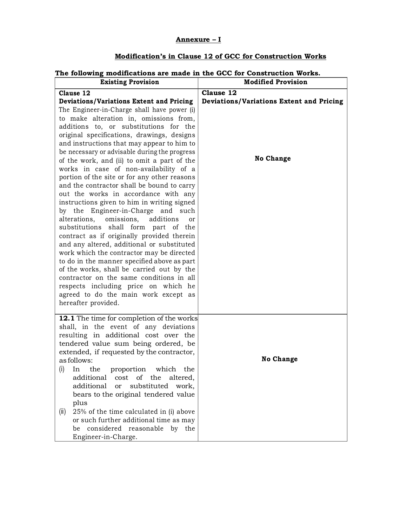#### **Annexure – I**

### **Modification's in Clause 12 of GCC for Construction Works**

#### **The following modifications are made in the GCC for Construction Works.**

| <b>Existing Provision</b>                                                                    | <b>Modified Provision</b>                       |
|----------------------------------------------------------------------------------------------|-------------------------------------------------|
| Clause 12                                                                                    | Clause 12                                       |
| <b>Deviations/Variations Extent and Pricing</b>                                              | <b>Deviations/Variations Extent and Pricing</b> |
| The Engineer-in-Charge shall have power (i)                                                  |                                                 |
| to make alteration in, omissions from,                                                       |                                                 |
| additions to, or substitutions for the                                                       |                                                 |
| original specifications, drawings, designs                                                   |                                                 |
| and instructions that may appear to him to                                                   |                                                 |
| be necessary or advisable during the progress<br>of the work, and (ii) to omit a part of the | <b>No Change</b>                                |
| works in case of non-availability of a                                                       |                                                 |
| portion of the site or for any other reasons                                                 |                                                 |
| and the contractor shall be bound to carry                                                   |                                                 |
| out the works in accordance with any                                                         |                                                 |
| instructions given to him in writing signed                                                  |                                                 |
| by the Engineer-in-Charge and such                                                           |                                                 |
| omissions,<br>additions<br>alterations,<br>or                                                |                                                 |
| substitutions shall form part of the                                                         |                                                 |
| contract as if originally provided therein                                                   |                                                 |
| and any altered, additional or substituted<br>work which the contractor may be directed      |                                                 |
| to do in the manner specified above as part                                                  |                                                 |
| of the works, shall be carried out by the                                                    |                                                 |
| contractor on the same conditions in all                                                     |                                                 |
| respects including price on which he                                                         |                                                 |
| agreed to do the main work except as                                                         |                                                 |
| hereafter provided.                                                                          |                                                 |
| <b>12.1</b> The time for completion of the works                                             |                                                 |
| shall, in the event of any deviations                                                        |                                                 |
| resulting in additional cost over the                                                        |                                                 |
| tendered value sum being ordered, be                                                         |                                                 |
| extended, if requested by the contractor,                                                    |                                                 |
| as follows:                                                                                  | <b>No Change</b>                                |
| (i)<br>In<br>the<br>proportion<br>which<br>the                                               |                                                 |
| additional<br>of the<br>cost<br>altered,<br>additional                                       |                                                 |
| substituted<br><b>or</b><br>work,<br>bears to the original tendered value                    |                                                 |
| plus                                                                                         |                                                 |
| 25% of the time calculated in (i) above<br>(ii)                                              |                                                 |
| or such further additional time as may                                                       |                                                 |
| considered reasonable by the<br>be                                                           |                                                 |
| Engineer-in-Charge.                                                                          |                                                 |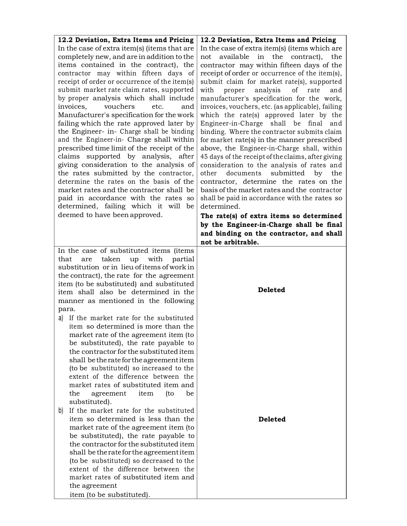| 12.2 Deviation, Extra Items and Pricing                                                 | 12.2 Deviation, Extra Items and Pricing                                                    |
|-----------------------------------------------------------------------------------------|--------------------------------------------------------------------------------------------|
| In the case of extra item(s) (items that are                                            | In the case of extra item(s) (items which are                                              |
| completely new, and are in addition to the                                              | in the contract),<br>not<br>available<br>the                                               |
| items contained in the contract), the                                                   | contractor may within fifteen days of the                                                  |
| contractor may within fifteen days of                                                   | receipt of order or occurrence of the item(s),                                             |
| receipt of order or occurrence of the item(s)                                           | submit claim for market rate(s), supported                                                 |
| submit market rate claim rates, supported                                               | of<br>with<br>proper<br>analysis<br>rate<br>and                                            |
| by proper analysis which shall include                                                  | manufacturer's specification for the work,                                                 |
| invoices.<br>vouchers<br>etc.<br>and                                                    | invoices, vouchers, etc. (as applicable), failing                                          |
| Manufacturer's specification for the work                                               | which the rate(s) approved later by the                                                    |
| failing which the rate approved later by                                                | Engineer-in-Charge shall be final<br>and                                                   |
| the Engineer- in- Charge shall be binding                                               | binding. Where the contractor submits claim                                                |
| and the Engineer-in- Charge shall within<br>prescribed time limit of the receipt of the | for market rate(s) in the manner prescribed<br>above, the Engineer-in-Charge shall, within |
| claims supported by analysis, after                                                     | 45 days of the receipt of the claims, after giving                                         |
| giving consideration to the analysis of                                                 | consideration to the analysis of rates and                                                 |
| the rates submitted by the contractor,                                                  | other<br>documents<br>submitted<br>by<br>the                                               |
| determine the rates on the basis of the                                                 | contractor, determine the rates on the                                                     |
| market rates and the contractor shall be                                                | basis of the market rates and the contractor                                               |
| paid in accordance with the rates so                                                    | shall be paid in accordance with the rates so                                              |
| determined, failing which it will be                                                    | determined.                                                                                |
| deemed to have been approved.                                                           | The rate(s) of extra items so determined                                                   |
|                                                                                         | by the Engineer-in-Charge shall be final                                                   |
|                                                                                         | and binding on the contractor, and shall                                                   |
|                                                                                         | not be arbitrable.                                                                         |
| In the case of substituted items (items                                                 |                                                                                            |
| taken<br>with<br>partial<br>that<br>up<br>are                                           |                                                                                            |
| substitution or in lieu of items of work in                                             |                                                                                            |
| the contract), the rate for the agreement                                               |                                                                                            |
| item (to be substituted) and substituted                                                | <b>Deleted</b>                                                                             |
| item shall also be determined in the                                                    |                                                                                            |
| manner as mentioned in the following                                                    |                                                                                            |
| para.                                                                                   |                                                                                            |
| a) If the market rate for the substituted                                               |                                                                                            |
| item so determined is more than the                                                     |                                                                                            |
| market rate of the agreement item (to                                                   |                                                                                            |
| be substituted), the rate payable to<br>the contractor for the substituted item         |                                                                                            |
| shall be the rate for the agreement item                                                |                                                                                            |
| (to be substituted) so increased to the                                                 |                                                                                            |
| extent of the difference between the                                                    |                                                                                            |
| market rates of substituted item and                                                    |                                                                                            |
| be<br>the<br>agreement<br>item<br>(to                                                   |                                                                                            |
| substituted).                                                                           |                                                                                            |
| If the market rate for the substituted<br>b)                                            |                                                                                            |
| item so determined is less than the                                                     | <b>Deleted</b>                                                                             |
| market rate of the agreement item (to                                                   |                                                                                            |
| be substituted), the rate payable to                                                    |                                                                                            |
| the contractor for the substituted item                                                 |                                                                                            |
| shall be the rate for the agreement item                                                |                                                                                            |
| (to be substituted) so decreased to the                                                 |                                                                                            |
| extent of the difference between the                                                    |                                                                                            |
| market rates of substituted item and                                                    |                                                                                            |
| the agreement                                                                           |                                                                                            |
| item (to be substituted).                                                               |                                                                                            |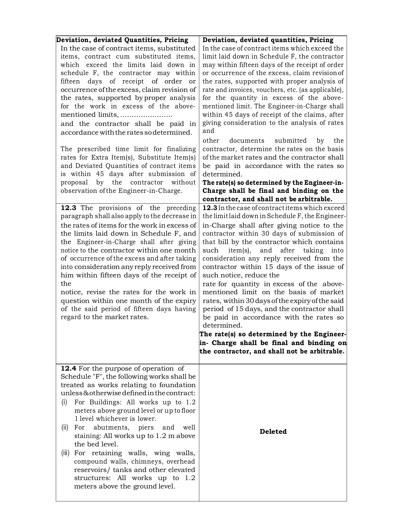| Deviation, deviated Quantities, Pricing<br>In the case of contract items, substituted<br>items, contract cum substituted items,<br>which exceed the limits laid down in<br>schedule F, the contractor may within<br>fifteen days of receipt of order or<br>occurrence of the excess, claim revision of<br>the rates, supported by proper analysis<br>for the work in excess of the above-<br>and the contractor shall be paid in<br>accordance with the rates so determined.<br>The prescribed time limit for finalizing<br>rates for Extra Item(s), Substitute Item(s)<br>and Deviated Quantities of contract items<br>is within 45 days after submission of<br>by the contractor without<br>proposal<br>observation of the Engineer-in-Charge.<br>12.3 The provisions of the preceding<br>paragraph shall also apply to the decrease in<br>the rates of items for the work in excess of<br>the limits laid down in Schedule F, and<br>the Engineer-in-Charge shall after giving<br>notice to the contractor within one month<br>of occurrence of the excess and after taking<br>into consideration any reply received from<br>him within fifteen days of the receipt of<br>the<br>notice, revise the rates for the work in<br>question within one month of the expiry | Deviation, deviated quantities, Pricing<br>In the case of contract items which exceed the<br>limit laid down in Schedule F, the contractor<br>may within fifteen days of the receipt of order<br>or occurrence of the excess, claim revision of<br>the rates, supported with proper analysis of<br>rate and invoices, vouchers, etc. (as applicable),<br>for the quantity in excess of the above-<br>mentioned limit. The Engineer-in-Charge shall<br>within 45 days of receipt of the claims, after<br>giving consideration to the analysis of rates<br>and<br>other<br>documents<br>submitted<br>by<br>the<br>contractor, determine the rates on the basis<br>of the market rates and the contractor shall<br>be paid in accordance with the rates so<br>determined.<br>The rate(s) so determined by the Engineer-in-<br>Charge shall be final and binding on the<br>contractor, and shall not be arbitrable.<br>12.3 In the case of contract items which exceed<br>the limit laid down in Schedule F, the Engineer-<br>in-Charge shall after giving notice to the<br>contractor within 30 days of submission of<br>that bill by the contractor which contains<br>item(s),<br>such<br>and<br>after taking<br>into<br>consideration any reply received from the<br>contractor within 15 days of the issue of<br>such notice, reduce the<br>rate for quantity in excess of the above-<br>mentioned limit on the basis of market<br>rates, within 30 days of the expiry of the said |
|-------------------------------------------------------------------------------------------------------------------------------------------------------------------------------------------------------------------------------------------------------------------------------------------------------------------------------------------------------------------------------------------------------------------------------------------------------------------------------------------------------------------------------------------------------------------------------------------------------------------------------------------------------------------------------------------------------------------------------------------------------------------------------------------------------------------------------------------------------------------------------------------------------------------------------------------------------------------------------------------------------------------------------------------------------------------------------------------------------------------------------------------------------------------------------------------------------------------------------------------------------------------------|------------------------------------------------------------------------------------------------------------------------------------------------------------------------------------------------------------------------------------------------------------------------------------------------------------------------------------------------------------------------------------------------------------------------------------------------------------------------------------------------------------------------------------------------------------------------------------------------------------------------------------------------------------------------------------------------------------------------------------------------------------------------------------------------------------------------------------------------------------------------------------------------------------------------------------------------------------------------------------------------------------------------------------------------------------------------------------------------------------------------------------------------------------------------------------------------------------------------------------------------------------------------------------------------------------------------------------------------------------------------------------------------------------------------------------------------------------------------------------|
| of the said period of fifteen days having<br>regard to the market rates.                                                                                                                                                                                                                                                                                                                                                                                                                                                                                                                                                                                                                                                                                                                                                                                                                                                                                                                                                                                                                                                                                                                                                                                                | period of 15 days, and the contractor shall<br>be paid in accordance with the rates so                                                                                                                                                                                                                                                                                                                                                                                                                                                                                                                                                                                                                                                                                                                                                                                                                                                                                                                                                                                                                                                                                                                                                                                                                                                                                                                                                                                             |
|                                                                                                                                                                                                                                                                                                                                                                                                                                                                                                                                                                                                                                                                                                                                                                                                                                                                                                                                                                                                                                                                                                                                                                                                                                                                         | determined.<br>The rate(s) so determined by the Engineer-                                                                                                                                                                                                                                                                                                                                                                                                                                                                                                                                                                                                                                                                                                                                                                                                                                                                                                                                                                                                                                                                                                                                                                                                                                                                                                                                                                                                                          |
|                                                                                                                                                                                                                                                                                                                                                                                                                                                                                                                                                                                                                                                                                                                                                                                                                                                                                                                                                                                                                                                                                                                                                                                                                                                                         | in- Charge shall be final and binding on<br>the contractor, and shall not be arbitrable.                                                                                                                                                                                                                                                                                                                                                                                                                                                                                                                                                                                                                                                                                                                                                                                                                                                                                                                                                                                                                                                                                                                                                                                                                                                                                                                                                                                           |
| <b>12.4</b> For the purpose of operation of<br>Schedule "F", the following works shall be<br>treated as works relating to foundation<br>unless&otherwisedefined in the contract:<br>(i)<br>For Buildings: All works up to 1.2<br>meters above ground level or up to floor<br>1 level whichever is lower.<br>(ii)<br>For abutments, piers and<br>well<br>staining: All works up to 1.2 m above<br>the bed level.<br>For retaining walls, wing walls,<br>(iii)<br>compound walls, chimneys, overhead<br>reservoirs/ tanks and other elevated<br>structures: All works up to 1.2<br>meters above the ground level.                                                                                                                                                                                                                                                                                                                                                                                                                                                                                                                                                                                                                                                         | <b>Deleted</b>                                                                                                                                                                                                                                                                                                                                                                                                                                                                                                                                                                                                                                                                                                                                                                                                                                                                                                                                                                                                                                                                                                                                                                                                                                                                                                                                                                                                                                                                     |